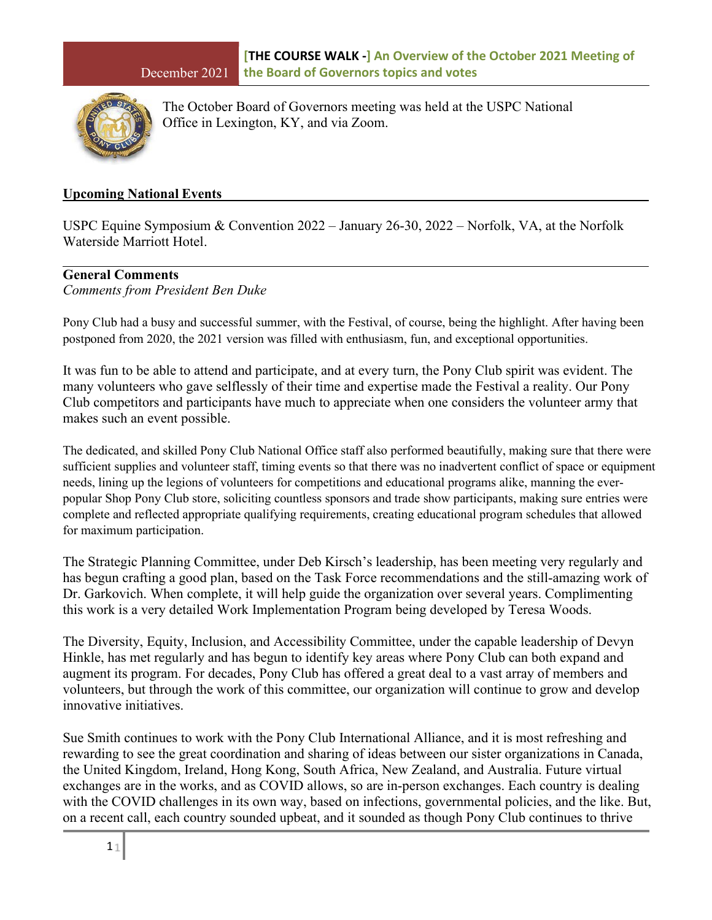

The October Board of Governors meeting was held at the USPC National Office in Lexington, KY, and via Zoom.

#### **Upcoming National Events**

USPC Equine Symposium & Convention 2022 – January 26-30, 2022 – Norfolk, VA, at the Norfolk Waterside Marriott Hotel.

#### **General Comments**

*Comments from President Ben Duke*

Pony Club had a busy and successful summer, with the Festival, of course, being the highlight. After having been postponed from 2020, the 2021 version was filled with enthusiasm, fun, and exceptional opportunities.

It was fun to be able to attend and participate, and at every turn, the Pony Club spirit was evident. The many volunteers who gave selflessly of their time and expertise made the Festival a reality. Our Pony Club competitors and participants have much to appreciate when one considers the volunteer army that makes such an event possible.

The dedicated, and skilled Pony Club National Office staff also performed beautifully, making sure that there were sufficient supplies and volunteer staff, timing events so that there was no inadvertent conflict of space or equipment needs, lining up the legions of volunteers for competitions and educational programs alike, manning the everpopular Shop Pony Club store, soliciting countless sponsors and trade show participants, making sure entries were complete and reflected appropriate qualifying requirements, creating educational program schedules that allowed for maximum participation.

The Strategic Planning Committee, under Deb Kirsch's leadership, has been meeting very regularly and has begun crafting a good plan, based on the Task Force recommendations and the still-amazing work of Dr. Garkovich. When complete, it will help guide the organization over several years. Complimenting this work is a very detailed Work Implementation Program being developed by Teresa Woods.

The Diversity, Equity, Inclusion, and Accessibility Committee, under the capable leadership of Devyn Hinkle, has met regularly and has begun to identify key areas where Pony Club can both expand and augment its program. For decades, Pony Club has offered a great deal to a vast array of members and volunteers, but through the work of this committee, our organization will continue to grow and develop innovative initiatives.

Sue Smith continues to work with the Pony Club International Alliance, and it is most refreshing and rewarding to see the great coordination and sharing of ideas between our sister organizations in Canada, the United Kingdom, Ireland, Hong Kong, South Africa, New Zealand, and Australia. Future virtual exchanges are in the works, and as COVID allows, so are in-person exchanges. Each country is dealing with the COVID challenges in its own way, based on infections, governmental policies, and the like. But, on a recent call, each country sounded upbeat, and it sounded as though Pony Club continues to thrive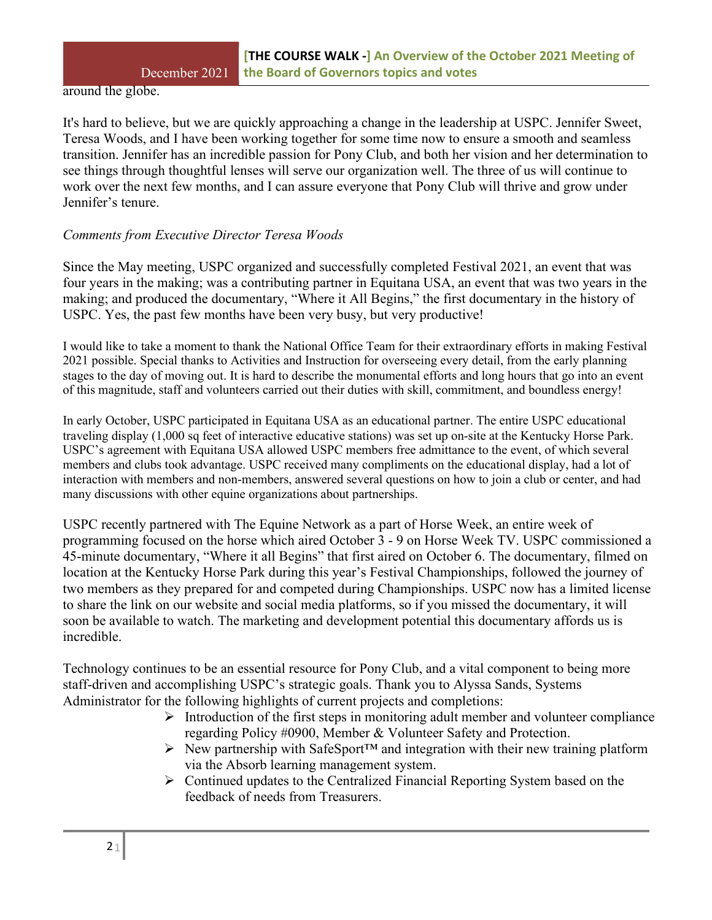around the globe.

It's hard to believe, but we are quickly approaching a change in the leadership at USPC. Jennifer Sweet, Teresa Woods, and I have been working together for some time now to ensure a smooth and seamless transition. Jennifer has an incredible passion for Pony Club, and both her vision and her determination to see things through thoughtful lenses will serve our organization well. The three of us will continue to work over the next few months, and I can assure everyone that Pony Club will thrive and grow under Jennifer's tenure.

# *Comments from Executive Director Teresa Woods*

Since the May meeting, USPC organized and successfully completed Festival 2021, an event that was four years in the making; was a contributing partner in Equitana USA, an event that was two years in the making; and produced the documentary, "Where it All Begins," the first documentary in the history of USPC. Yes, the past few months have been very busy, but very productive!

I would like to take a moment to thank the National Office Team for their extraordinary efforts in making Festival 2021 possible. Special thanks to Activities and Instruction for overseeing every detail, from the early planning stages to the day of moving out. It is hard to describe the monumental efforts and long hours that go into an event of this magnitude, staff and volunteers carried out their duties with skill, commitment, and boundless energy!

In early October, USPC participated in Equitana USA as an educational partner. The entire USPC educational traveling display (1,000 sq feet of interactive educative stations) was set up on-site at the Kentucky Horse Park. USPC's agreement with Equitana USA allowed USPC members free admittance to the event, of which several members and clubs took advantage. USPC received many compliments on the educational display, had a lot of interaction with members and non-members, answered several questions on how to join a club or center, and had many discussions with other equine organizations about partnerships.

USPC recently partnered with The Equine Network as a part of Horse Week, an entire week of programming focused on the horse which aired October 3 - 9 on Horse Week TV. USPC commissioned a 45-minute documentary, "Where it all Begins" that first aired on October 6. The documentary, filmed on location at the Kentucky Horse Park during this year's Festival Championships, followed the journey of two members as they prepared for and competed during Championships. USPC now has a limited license to share the link on our website and social media platforms, so if you missed the documentary, it will soon be available to watch. The marketing and development potential this documentary affords us is incredible.

Technology continues to be an essential resource for Pony Club, and a vital component to being more staff-driven and accomplishing USPC's strategic goals. Thank you to Alyssa Sands, Systems Administrator for the following highlights of current projects and completions:

- $\triangleright$  Introduction of the first steps in monitoring adult member and volunteer compliance regarding Policy #0900, Member & Volunteer Safety and Protection.
- New partnership with SafeSport™ and integration with their new training platform via the Absorb learning management system.
- $\triangleright$  Continued updates to the Centralized Financial Reporting System based on the feedback of needs from Treasurers.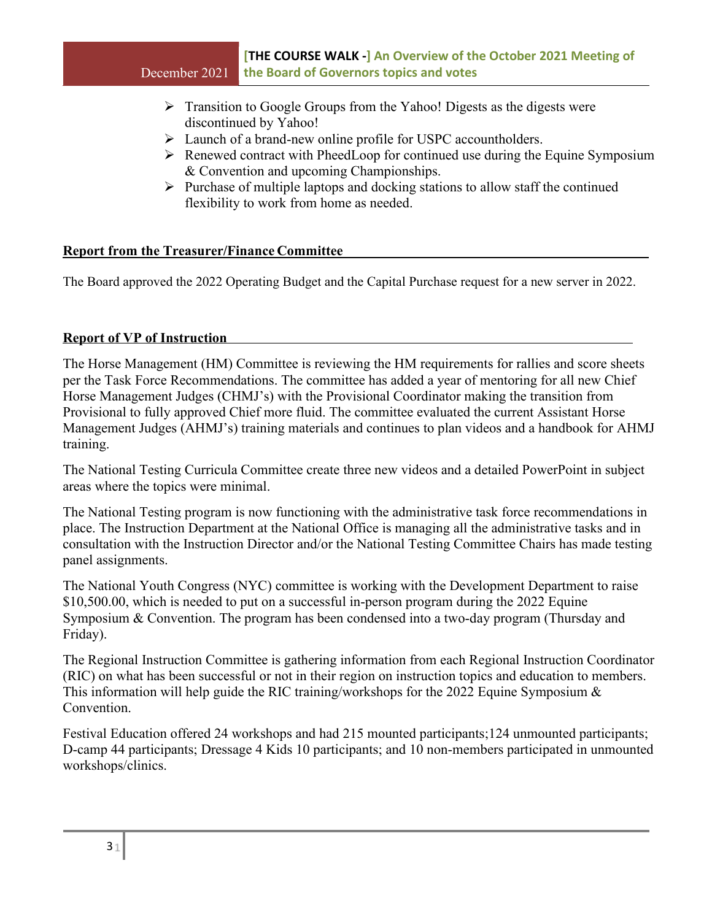- $\triangleright$  Transition to Google Groups from the Yahoo! Digests as the digests were discontinued by Yahoo!
- Launch of a brand-new online profile for USPC accountholders.
- $\triangleright$  Renewed contract with PheedLoop for continued use during the Equine Symposium & Convention and upcoming Championships.
- $\triangleright$  Purchase of multiple laptops and docking stations to allow staff the continued flexibility to work from home as needed.

### **Report from the Treasurer/Finance Committee**

The Board approved the 2022 Operating Budget and the Capital Purchase request for a new server in 2022.

### **Report of VP of Instruction**

The Horse Management (HM) Committee is reviewing the HM requirements for rallies and score sheets per the Task Force Recommendations. The committee has added a year of mentoring for all new Chief Horse Management Judges (CHMJ's) with the Provisional Coordinator making the transition from Provisional to fully approved Chief more fluid. The committee evaluated the current Assistant Horse Management Judges (AHMJ's) training materials and continues to plan videos and a handbook for AHMJ training.

The National Testing Curricula Committee create three new videos and a detailed PowerPoint in subject areas where the topics were minimal.

The National Testing program is now functioning with the administrative task force recommendations in place. The Instruction Department at the National Office is managing all the administrative tasks and in consultation with the Instruction Director and/or the National Testing Committee Chairs has made testing panel assignments.

The National Youth Congress (NYC) committee is working with the Development Department to raise \$10,500.00, which is needed to put on a successful in-person program during the 2022 Equine Symposium & Convention. The program has been condensed into a two-day program (Thursday and Friday).

The Regional Instruction Committee is gathering information from each Regional Instruction Coordinator (RIC) on what has been successful or not in their region on instruction topics and education to members. This information will help guide the RIC training/workshops for the 2022 Equine Symposium & Convention.

Festival Education offered 24 workshops and had 215 mounted participants;124 unmounted participants; D-camp 44 participants; Dressage 4 Kids 10 participants; and 10 non-members participated in unmounted workshops/clinics.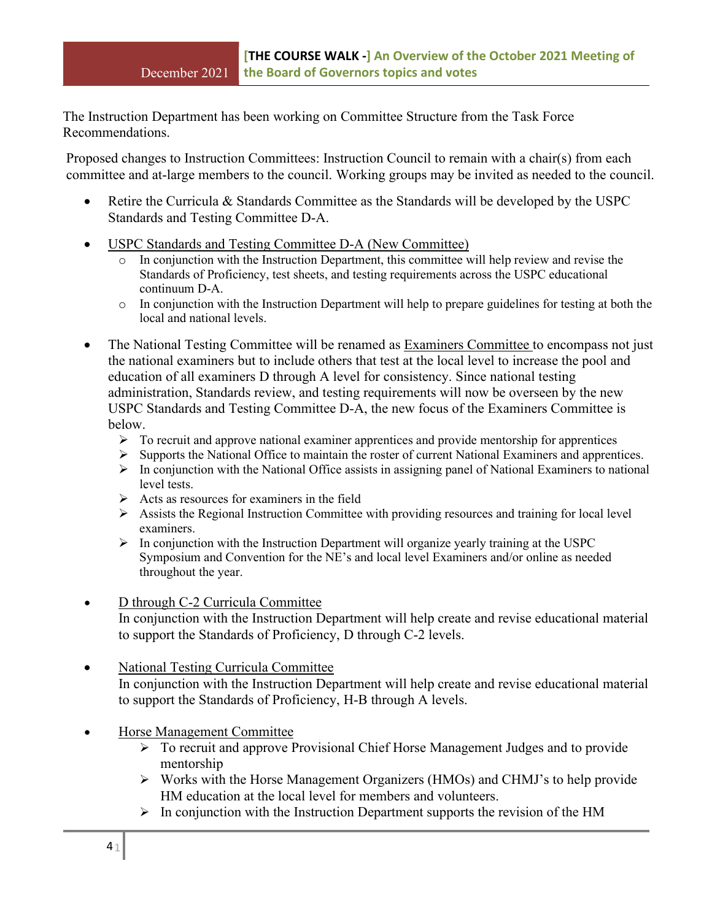The Instruction Department has been working on Committee Structure from the Task Force Recommendations.

Proposed changes to Instruction Committees: Instruction Council to remain with a chair(s) from each committee and at-large members to the council. Working groups may be invited as needed to the council.

- Retire the Curricula & Standards Committee as the Standards will be developed by the USPC Standards and Testing Committee D-A.
- USPC Standards and Testing Committee D-A (New Committee)
	- o In conjunction with the Instruction Department, this committee will help review and revise the Standards of Proficiency, test sheets, and testing requirements across the USPC educational continuum D-A.
	- $\circ$  In conjunction with the Instruction Department will help to prepare guidelines for testing at both the local and national levels.
- The National Testing Committee will be renamed as Examiners Committee to encompass not just the national examiners but to include others that test at the local level to increase the pool and education of all examiners D through A level for consistency. Since national testing administration, Standards review, and testing requirements will now be overseen by the new USPC Standards and Testing Committee D-A, the new focus of the Examiners Committee is below.
	- $\triangleright$  To recruit and approve national examiner apprentices and provide mentorship for apprentices
	- Supports the National Office to maintain the roster of current National Examiners and apprentices.
	- $\triangleright$  In conjunction with the National Office assists in assigning panel of National Examiners to national level tests.
	- $\triangleright$  Acts as resources for examiners in the field
	- $\triangleright$  Assists the Regional Instruction Committee with providing resources and training for local level examiners.
	- $\triangleright$  In conjunction with the Instruction Department will organize yearly training at the USPC Symposium and Convention for the NE's and local level Examiners and/or online as needed throughout the year.
- D through C-2 Curricula Committee In conjunction with the Instruction Department will help create and revise educational material to support the Standards of Proficiency, D through C-2 levels.
- National Testing Curricula Committee In conjunction with the Instruction Department will help create and revise educational material to support the Standards of Proficiency, H-B through A levels.
- Horse Management Committee
	- To recruit and approve Provisional Chief Horse Management Judges and to provide mentorship
	- Works with the Horse Management Organizers (HMOs) and CHMJ's to help provide HM education at the local level for members and volunteers.
	- $\triangleright$  In conjunction with the Instruction Department supports the revision of the HM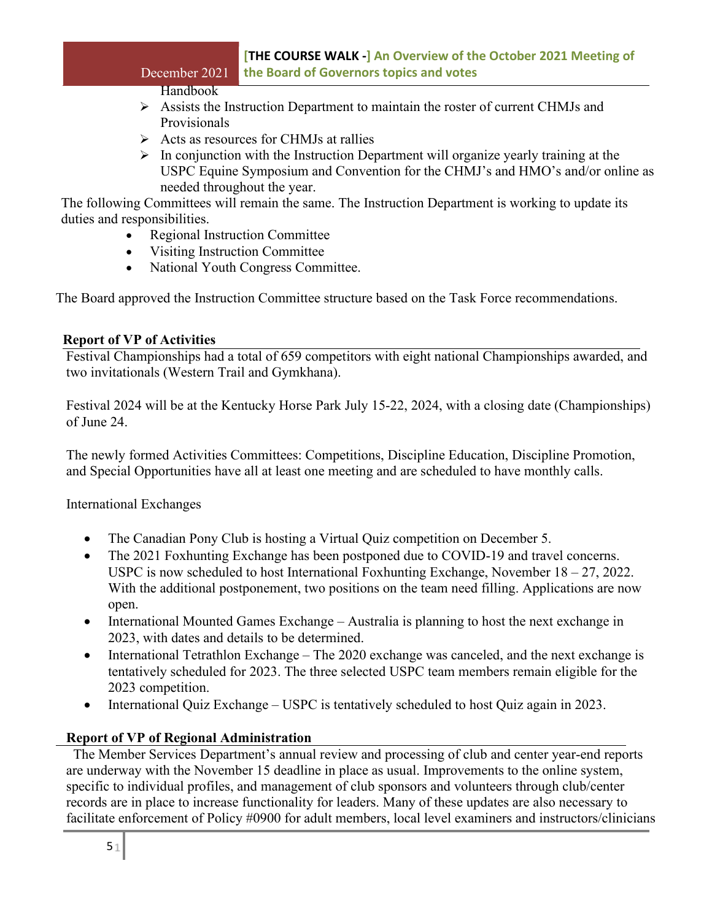# **[THE COURSE WALK -] An Overview of the October 2021 Meeting of** December 2021 **the Board of Governors topics and votes**

# Handbook

- $\triangleright$  Assists the Instruction Department to maintain the roster of current CHMJs and Provisionals
- $\triangleright$  Acts as resources for CHMJs at rallies
- $\triangleright$  In conjunction with the Instruction Department will organize yearly training at the USPC Equine Symposium and Convention for the CHMJ's and HMO's and/or online as needed throughout the year.

The following Committees will remain the same. The Instruction Department is working to update its duties and responsibilities.

- Regional Instruction Committee
- Visiting Instruction Committee
- National Youth Congress Committee.

The Board approved the Instruction Committee structure based on the Task Force recommendations.

# **Report of VP of Activities**

Festival Championships had a total of 659 competitors with eight national Championships awarded, and two invitationals (Western Trail and Gymkhana).

Festival 2024 will be at the Kentucky Horse Park July 15-22, 2024, with a closing date (Championships) of June 24.

The newly formed Activities Committees: Competitions, Discipline Education, Discipline Promotion, and Special Opportunities have all at least one meeting and are scheduled to have monthly calls.

International Exchanges

- The Canadian Pony Club is hosting a Virtual Quiz competition on December 5.
- The 2021 Foxhunting Exchange has been postponed due to COVID-19 and travel concerns. USPC is now scheduled to host International Foxhunting Exchange, November 18 – 27, 2022. With the additional postponement, two positions on the team need filling. Applications are now open.
- International Mounted Games Exchange Australia is planning to host the next exchange in 2023, with dates and details to be determined.
- International Tetrathlon Exchange The 2020 exchange was canceled, and the next exchange is tentatively scheduled for 2023. The three selected USPC team members remain eligible for the 2023 competition.
- International Quiz Exchange USPC is tentatively scheduled to host Quiz again in 2023.

# **Report of VP of Regional Administration**

 The Member Services Department's annual review and processing of club and center year-end reports are underway with the November 15 deadline in place as usual. Improvements to the online system, specific to individual profiles, and management of club sponsors and volunteers through club/center records are in place to increase functionality for leaders. Many of these updates are also necessary to facilitate enforcement of Policy #0900 for adult members, local level examiners and instructors/clinicians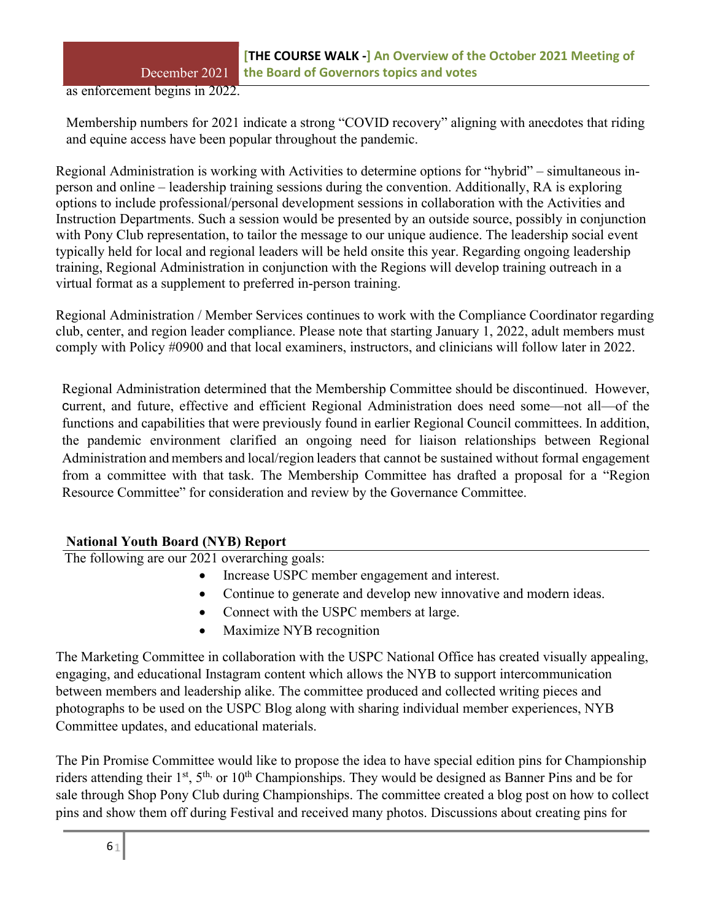as enforcement begins in 2022.

Membership numbers for 2021 indicate a strong "COVID recovery" aligning with anecdotes that riding and equine access have been popular throughout the pandemic.

Regional Administration is working with Activities to determine options for "hybrid" – simultaneous inperson and online – leadership training sessions during the convention. Additionally, RA is exploring options to include professional/personal development sessions in collaboration with the Activities and Instruction Departments. Such a session would be presented by an outside source, possibly in conjunction with Pony Club representation, to tailor the message to our unique audience. The leadership social event typically held for local and regional leaders will be held onsite this year. Regarding ongoing leadership training, Regional Administration in conjunction with the Regions will develop training outreach in a virtual format as a supplement to preferred in-person training.

Regional Administration / Member Services continues to work with the Compliance Coordinator regarding club, center, and region leader compliance. Please note that starting January 1, 2022, adult members must comply with Policy #0900 and that local examiners, instructors, and clinicians will follow later in 2022.

Regional Administration determined that the Membership Committee should be discontinued. However, current, and future, effective and efficient Regional Administration does need some—not all—of the functions and capabilities that were previously found in earlier Regional Council committees. In addition, the pandemic environment clarified an ongoing need for liaison relationships between Regional Administration and members and local/region leaders that cannot be sustained without formal engagement from a committee with that task. The Membership Committee has drafted a proposal for a "Region Resource Committee" for consideration and review by the Governance Committee.

# **National Youth Board (NYB) Report**

The following are our 2021 overarching goals:

- Increase USPC member engagement and interest.
- Continue to generate and develop new innovative and modern ideas.
- Connect with the USPC members at large.
- Maximize NYB recognition

The Marketing Committee in collaboration with the USPC National Office has created visually appealing, engaging, and educational Instagram content which allows the NYB to support intercommunication between members and leadership alike. The committee produced and collected writing pieces and photographs to be used on the USPC Blog along with sharing individual member experiences, NYB Committee updates, and educational materials.

The Pin Promise Committee would like to propose the idea to have special edition pins for Championship riders attending their 1<sup>st</sup>, 5<sup>th,</sup> or 10<sup>th</sup> Championships. They would be designed as Banner Pins and be for sale through Shop Pony Club during Championships. The committee created a blog post on how to collect pins and show them off during Festival and received many photos. Discussions about creating pins for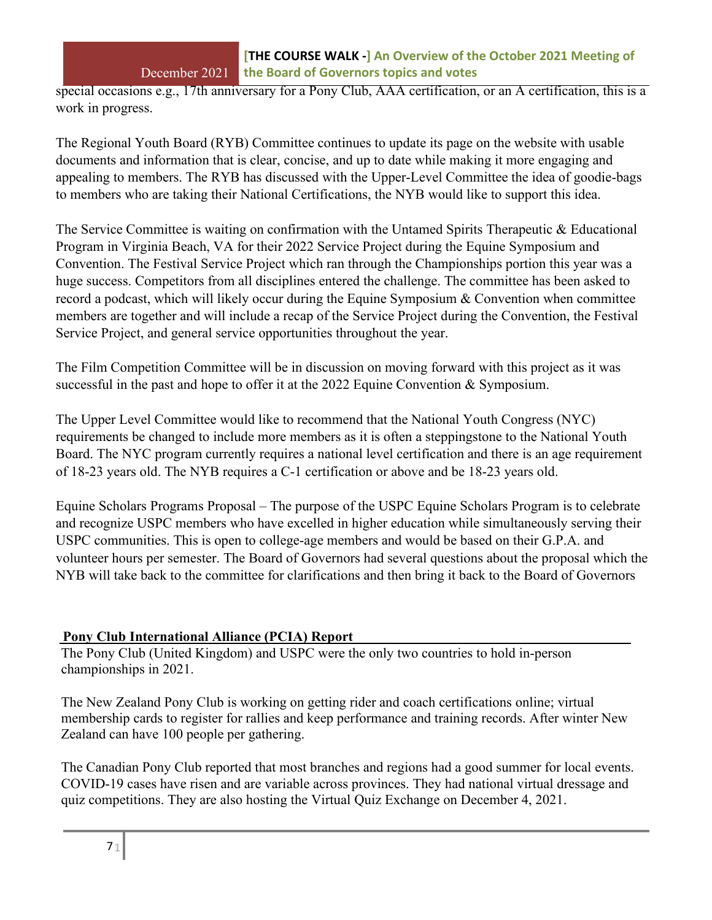special occasions e.g., 17th anniversary for a Pony Club, AAA certification, or an A certification, this is a work in progress.

The Regional Youth Board (RYB) Committee continues to update its page on the website with usable documents and information that is clear, concise, and up to date while making it more engaging and appealing to members. The RYB has discussed with the Upper-Level Committee the idea of goodie-bags to members who are taking their National Certifications, the NYB would like to support this idea.

The Service Committee is waiting on confirmation with the Untamed Spirits Therapeutic & Educational Program in Virginia Beach, VA for their 2022 Service Project during the Equine Symposium and Convention. The Festival Service Project which ran through the Championships portion this year was a huge success. Competitors from all disciplines entered the challenge. The committee has been asked to record a podcast, which will likely occur during the Equine Symposium & Convention when committee members are together and will include a recap of the Service Project during the Convention, the Festival Service Project, and general service opportunities throughout the year.

The Film Competition Committee will be in discussion on moving forward with this project as it was successful in the past and hope to offer it at the 2022 Equine Convention & Symposium.

The Upper Level Committee would like to recommend that the National Youth Congress (NYC) requirements be changed to include more members as it is often a steppingstone to the National Youth Board. The NYC program currently requires a national level certification and there is an age requirement of 18-23 years old. The NYB requires a C-1 certification or above and be 18-23 years old.

Equine Scholars Programs Proposal – The purpose of the USPC Equine Scholars Program is to celebrate and recognize USPC members who have excelled in higher education while simultaneously serving their USPC communities. This is open to college-age members and would be based on their G.P.A. and volunteer hours per semester. The Board of Governors had several questions about the proposal which the NYB will take back to the committee for clarifications and then bring it back to the Board of Governors

# **Pony Club International Alliance (PCIA) Report**

The Pony Club (United Kingdom) and USPC were the only two countries to hold in-person championships in 2021.

The New Zealand Pony Club is working on getting rider and coach certifications online; virtual membership cards to register for rallies and keep performance and training records. After winter New Zealand can have 100 people per gathering.

The Canadian Pony Club reported that most branches and regions had a good summer for local events. COVID-19 cases have risen and are variable across provinces. They had national virtual dressage and quiz competitions. They are also hosting the Virtual Quiz Exchange on December 4, 2021.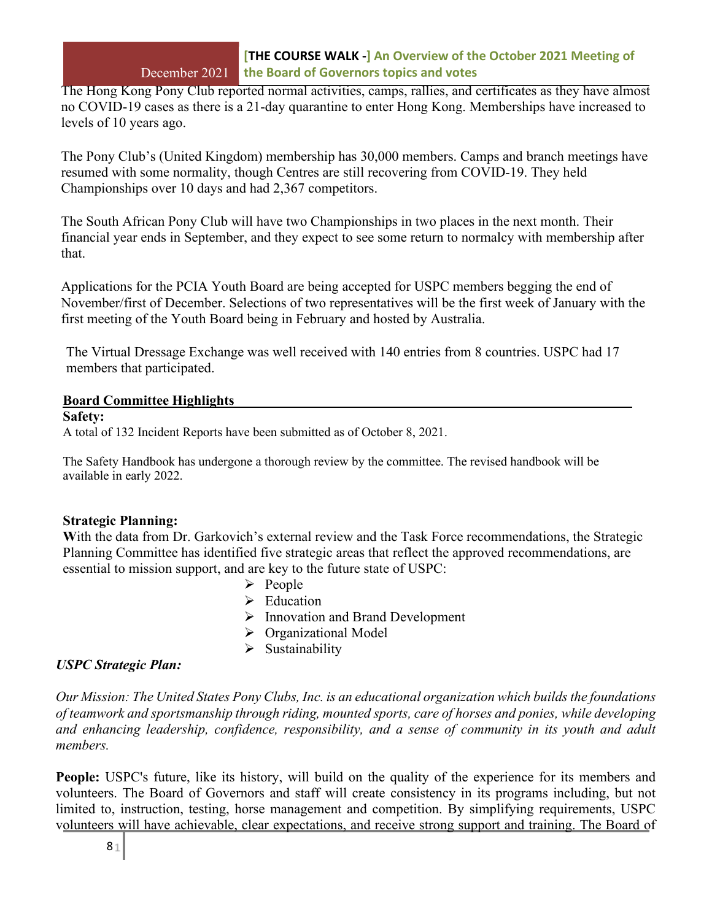The Hong Kong Pony Club reported normal activities, camps, rallies, and certificates as they have almost no COVID-19 cases as there is a 21-day quarantine to enter Hong Kong. Memberships have increased to levels of 10 years ago.

The Pony Club's (United Kingdom) membership has 30,000 members. Camps and branch meetings have resumed with some normality, though Centres are still recovering from COVID-19. They held Championships over 10 days and had 2,367 competitors.

The South African Pony Club will have two Championships in two places in the next month. Their financial year ends in September, and they expect to see some return to normalcy with membership after that.

Applications for the PCIA Youth Board are being accepted for USPC members begging the end of November/first of December. Selections of two representatives will be the first week of January with the first meeting of the Youth Board being in February and hosted by Australia.

The Virtual Dressage Exchange was well received with 140 entries from 8 countries. USPC had 17 members that participated.

### **Board Committee Highlights**

#### **Safety:**

A total of 132 Incident Reports have been submitted as of October 8, 2021.

The Safety Handbook has undergone a thorough review by the committee. The revised handbook will be available in early 2022.

# **Strategic Planning:**

With the data from Dr. Garkovich's external review and the Task Force recommendations, the Strategic Planning Committee has identified five strategic areas that reflect the approved recommendations, are essential to mission support, and are key to the future state of USPC:

- $\triangleright$  People
- $\triangleright$  Education
- $\triangleright$  Innovation and Brand Development
- Organizational Model
- $\triangleright$  Sustainability

# *USPC Strategic Plan:*

*Our Mission: The United States Pony Clubs, Inc. is an educational organization which builds the foundations of teamwork and sportsmanship through riding, mounted sports, care of horses and ponies, while developing and enhancing leadership, confidence, responsibility, and a sense of community in its youth and adult members.*

**People:** USPC's future, like its history, will build on the quality of the experience for its members and volunteers. The Board of Governors and staff will create consistency in its programs including, but not limited to, instruction, testing, horse management and competition. By simplifying requirements, USPC volunteers will have achievable, clear expectations, and receive strong support and training. The Board of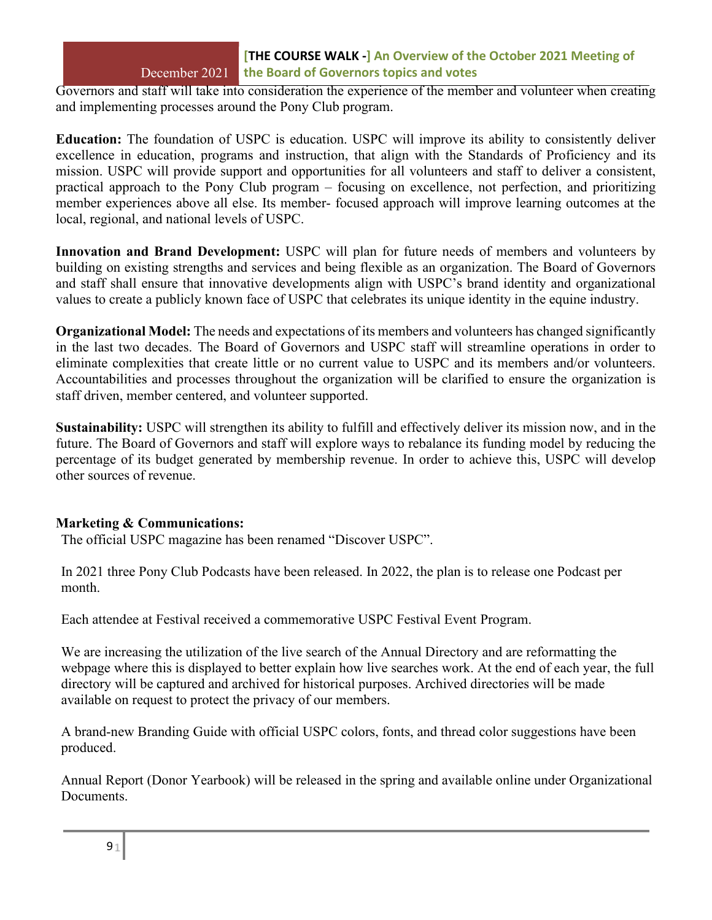# **[THE COURSE WALK -] An Overview of the October 2021 Meeting of** December 2021 **the Board of Governors topics and votes**

Governors and staff will take into consideration the experience of the member and volunteer when creating and implementing processes around the Pony Club program.

**Education:** The foundation of USPC is education. USPC will improve its ability to consistently deliver excellence in education, programs and instruction, that align with the Standards of Proficiency and its mission. USPC will provide support and opportunities for all volunteers and staff to deliver a consistent, practical approach to the Pony Club program – focusing on excellence, not perfection, and prioritizing member experiences above all else. Its member- focused approach will improve learning outcomes at the local, regional, and national levels of USPC.

**Innovation and Brand Development:** USPC will plan for future needs of members and volunteers by building on existing strengths and services and being flexible as an organization. The Board of Governors and staff shall ensure that innovative developments align with USPC's brand identity and organizational values to create a publicly known face of USPC that celebrates its unique identity in the equine industry.

**Organizational Model:** The needs and expectations of its members and volunteers has changed significantly in the last two decades. The Board of Governors and USPC staff will streamline operations in order to eliminate complexities that create little or no current value to USPC and its members and/or volunteers. Accountabilities and processes throughout the organization will be clarified to ensure the organization is staff driven, member centered, and volunteer supported.

**Sustainability:** USPC will strengthen its ability to fulfill and effectively deliver its mission now, and in the future. The Board of Governors and staff will explore ways to rebalance its funding model by reducing the percentage of its budget generated by membership revenue. In order to achieve this, USPC will develop other sources of revenue.

#### **Marketing & Communications:**

The official USPC magazine has been renamed "Discover USPC".

In 2021 three Pony Club Podcasts have been released. In 2022, the plan is to release one Podcast per month.

Each attendee at Festival received a commemorative USPC Festival Event Program.

We are increasing the utilization of the live search of the Annual Directory and are reformatting the webpage where this is displayed to better explain how live searches work. At the end of each year, the full directory will be captured and archived for historical purposes. Archived directories will be made available on request to protect the privacy of our members.

A brand-new Branding Guide with official USPC colors, fonts, and thread color suggestions have been produced.

Annual Report (Donor Yearbook) will be released in the spring and available online under Organizational Documents.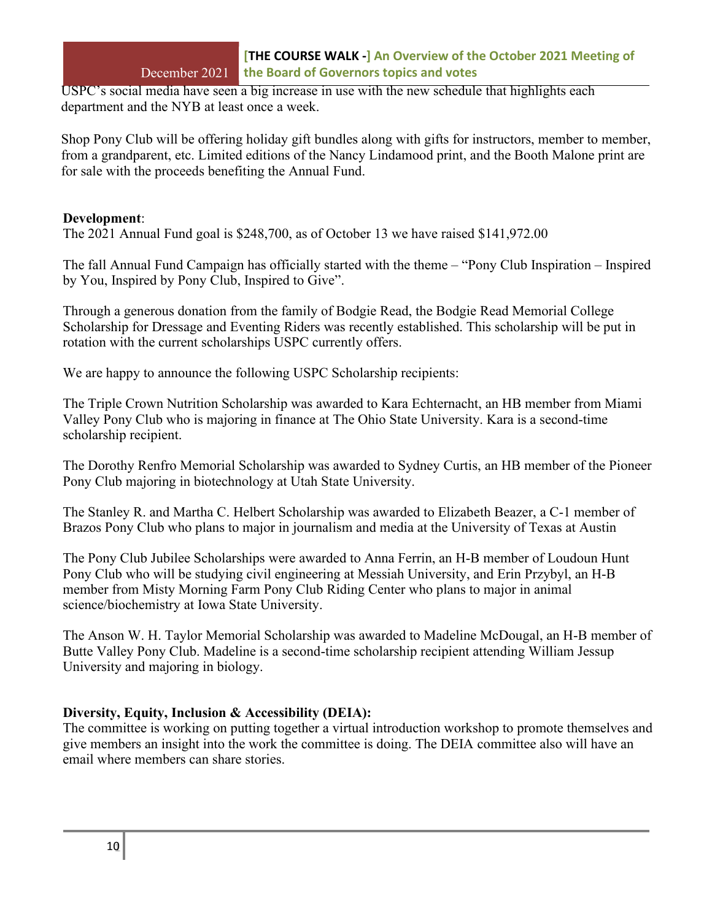USPC's social media have seen a big increase in use with the new schedule that highlights each department and the NYB at least once a week.

Shop Pony Club will be offering holiday gift bundles along with gifts for instructors, member to member, from a grandparent, etc. Limited editions of the Nancy Lindamood print, and the Booth Malone print are for sale with the proceeds benefiting the Annual Fund.

#### **Development**:

The 2021 Annual Fund goal is \$248,700, as of October 13 we have raised \$141,972.00

The fall Annual Fund Campaign has officially started with the theme – "Pony Club Inspiration – Inspired by You, Inspired by Pony Club, Inspired to Give".

Through a generous donation from the family of Bodgie Read, the Bodgie Read Memorial College Scholarship for Dressage and Eventing Riders was recently established. This scholarship will be put in rotation with the current scholarships USPC currently offers.

We are happy to announce the following USPC Scholarship recipients:

The Triple Crown Nutrition Scholarship was awarded to Kara Echternacht, an HB member from Miami Valley Pony Club who is majoring in finance at The Ohio State University. Kara is a second-time scholarship recipient.

The Dorothy Renfro Memorial Scholarship was awarded to Sydney Curtis, an HB member of the Pioneer Pony Club majoring in biotechnology at Utah State University.

The Stanley R. and Martha C. Helbert Scholarship was awarded to Elizabeth Beazer, a C-1 member of Brazos Pony Club who plans to major in journalism and media at the University of Texas at Austin

The Pony Club Jubilee Scholarships were awarded to Anna Ferrin, an H-B member of Loudoun Hunt Pony Club who will be studying civil engineering at Messiah University, and Erin Przybyl, an H-B member from Misty Morning Farm Pony Club Riding Center who plans to major in animal science/biochemistry at Iowa State University.

The Anson W. H. Taylor Memorial Scholarship was awarded to Madeline McDougal, an H-B member of Butte Valley Pony Club. Madeline is a second-time scholarship recipient attending William Jessup University and majoring in biology.

# **Diversity, Equity, Inclusion & Accessibility (DEIA):**

The committee is working on putting together a virtual introduction workshop to promote themselves and give members an insight into the work the committee is doing. The DEIA committee also will have an email where members can share stories.